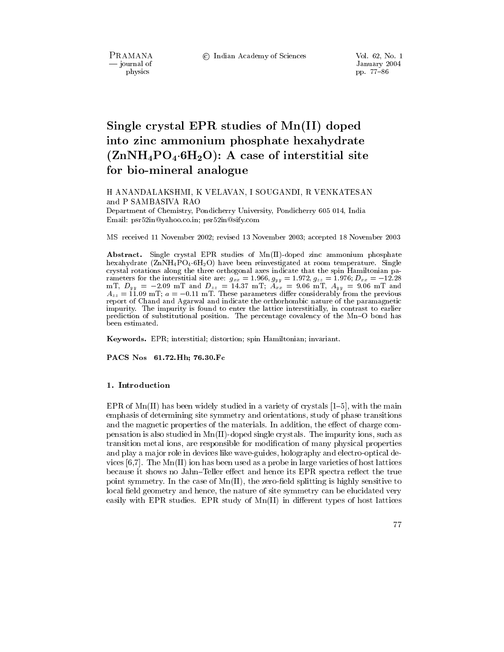PRAMANA - journal of physics

© Indian Academy of Sciences

Vol. 62, No. 1 January 2004 pp. 77-86

# Single crystal EPR studies of Mn(II) doped into zinc ammonium phosphate hexahydrate  $(ZnNH_4PO_4.6H_2O)$ : A case of interstitial site for bio-mineral analogue

H ANANDALAKSHMI, K VELAVAN, I SOUGANDI, R VENKATESAN and P SAMBASIVA RAO

Department of Chemistry, Pondicherry University, Pondicherry 605 014, India Email: psr52in@yahoo.co.in; psr52in@sify.com

MS received 11 November 2002; revised 13 November 2003; accepted 18 November 2003

Abstract. Single crystal EPR studies of Mn(II)-doped zinc ammonium phosphate hexahydrate  $(ZnNH_4PO_4.6H_2O)$  have been reinvestigated at room temperature. Single crystal rotations along the three orthogonal axes indicate that the spin Hamiltonian pacrystal rotations along the three orthogonal axes melecte that the spin radius parameters for the interstitial site are:  $g_{xx} = 1.966$ ,  $g_{yy} = 1.972$ ,  $g_{zz} = 1.976$ ;  $D_{xx} = -12.28$  mT,  $D_{yy} = -2.09$  mT and  $D_{zz} = 14.37$  mT; impurity. The impurity is found to enter the lattice interstitially, in contrast to earlier prediction of substitutional position. The percentage covalency of the Mn-O bond has been estimated.

Keywords. EPR; interstitial; distortion; spin Hamiltonian; invariant.

PACS Nos 61.72.Hh; 76.30.Fc

#### 1. Introduction

EPR of Mn(II) has been widely studied in a variety of crystals  $[1-5]$ , with the main emphasis of determining site symmetry and orientations, study of phase transitions and the magnetic properties of the materials. In addition, the effect of charge compensation is also studied in  $Mn(II)$ -doped single crystals. The impurity ions, such as transition metal ions, are responsible for modification of many physical properties and play a major role in devices like wave-guides, holography and electro-optical devices  $[6,7]$ . The Mn(II) ion has been used as a probe in large varieties of host lattices because it shows no Jahn–Teller effect and hence its EPR spectra reflect the true point symmetry. In the case of  $Mn(II)$ , the zero-field splitting is highly sensitive to local field geometry and hence, the nature of site symmetry can be elucidated very easily with EPR studies. EPR study of Mn(II) in different types of host lattices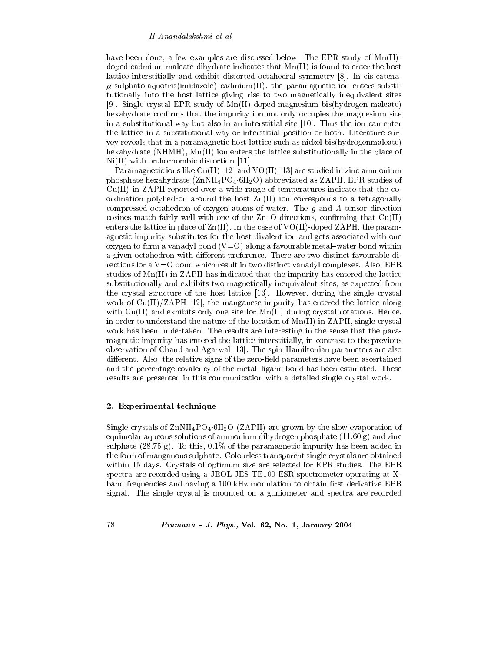have been done; a few examples are discussed below. The EPR study of  $Mn(II)$ doped cadmium maleate dihydrate indicates that  $Mn(II)$  is found to enter the host lattice interstitially and exhibit distorted octahedral symmetry [8]. In cis-catena- $\mu$ -sulphato-aquotris(imidazole) cadmium(II), the paramagnetic ion enters substitutionally into the host lattice giving rise to two magnetically inequivalent sites [9]. Single crystal EPR study of Mn(II)-doped magnesium bis(hydrogen maleate) hexally drate confirms that the impurity ion not only occupies the magnesium site in a substitutional way but also in an interstitial site  $[10]$ . Thus the ion can enter the lattice in a substitutional way or interstitial position or both. Literature survey reveals that in a paramagnetic host lattice such as nickel bis(hydrogenmaleate) hexahydrate (NHMH),  $Mn(II)$  ion enters the lattice substitutionally in the place of  $Ni(II)$  with orthorhombic distortion [11].

Paramagnetic ions like  $Cu(II)$  [12] and VO(II) [13] are studied in zinc ammonium phosphate hexahydrate  $(ZnNH_4PO_4.6H_2O)$  abbreviated as ZAPH. EPR studies of  $Cu(II)$  in ZAPH reported over a wide range of temperatures indicate that the coordination polyhedron around the host  $\text{Zn(II)}$  ion corresponds to a tetragonally compressed octahedron of oxygen atoms of water. The  $g$  and  $A$  tensor direction cosines match fairly well with one of the Zn-O directions, confirming that  $Cu(II)$ enters the lattice in place of  $Zn(II)$ . In the case of VO(II)-doped ZAPH, the paramagnetic impurity substitutes for the host divalent ion and gets associated with one oxygen to form a vanadyl bond  $(V=O)$  along a favourable metal-water bond within a given octahedron with different preference. There are two distinct favourable directions for a  $V=O$  bond which result in two distinct vanadyl complexes. Also, EPR studies of Mn(II) in ZAPH has indicated that the impurity has entered the lattice substitutionally and exhibits two magnetically inequivalent sites, as expected from the crystal structure of the host lattice [13]. However, during the single crystal work of  $Cu(II)/ZAPH$  [12], the manganese impurity has entered the lattice along with  $Cu(II)$  and exhibits only one site for  $Mn(II)$  during crystal rotations. Hence, in order to understand the nature of the location of  $Mn(II)$  in ZAPH, single crystal work has been undertaken. The results are interesting in the sense that the paramagnetic impurity has entered the lattice interstitially, in contrast to the previous observation of Chand and Agarwal [13]. The spin Hamiltonian parameters are also different. Also, the relative signs of the zero-field parameters have been ascertained and the percentage covalency of the metal-ligand bond has been estimated. These results are presented in this communication with a detailed single crystal work.

## 2. Experimental technique

Single crystals of  $\text{ZnNH}_4\text{PO}_4$  6H<sub>2</sub>O (ZAPH) are grown by the slow evaporation of equimolar aqueous solutions of ammonium dihydrogen phosphate  $(11.60 g)$  and zinc sulphate (28.75 g). To this,  $0.1\%$  of the paramagnetic impurity has been added in the form of manganous sulphate. Colourless transparent single crystals are obtained within 15 days. Crystals of optimum size are selected for EPR studies. The EPR spectra are recorded using a JEOL JES-TE100 ESR spectrometer operating at Xband frequencies and having a 100 kHz modulation to obtain first derivative EPR signal. The single crystal is mounted on a goniometer and spectra are recorded

78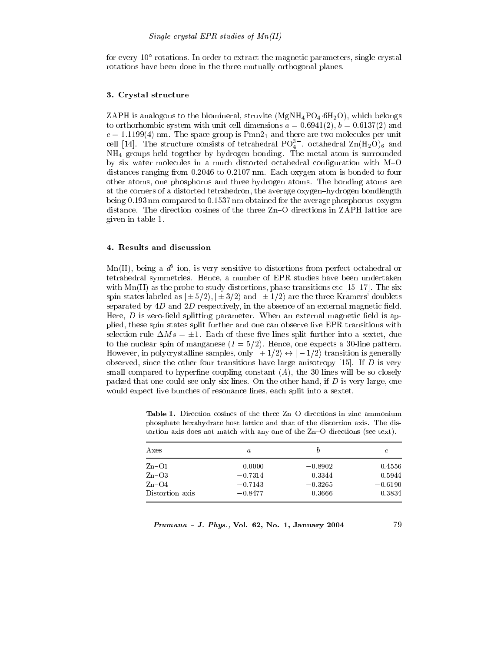for every  $10^{\circ}$  rotations. In order to extract the magnetic parameters, single crystal rotations have been done in the three mutually orthogonal planes.

### 3. Crystal structure

ZAPH is analogous to the biomineral, struvite  $(MgNH_4PO_4.6H_2O)$ , which belongs to orthorhombic system with unit cell dimensions  $a = 0.6941(2)$ ,  $b = 0.6137(2)$  and  $c = 1.1199(4)$  nm. The space group is  $Pmn2<sub>1</sub>$  and there are two molecules per unit cell [14]. The structure consists of tetrahedral  $PO_4^{3-}$ , octahedral  $Zn(H_2O)_6$  and  $NH<sub>4</sub>$  groups held together by hydrogen bonding. The metal atom is surrounded by six water molecules in a much distorted octahedral configuration with M-O distances ranging from 0.2046 to 0.2107 nm. Each oxygen atom is bonded to four other atoms, one phosphorus and three hydrogen atoms. The bonding atoms are at the corners of a distorted tetrahedron, the average oxygen-hydrogen bondlength being  $0.193$  nm compared to  $0.1537$  nm obtained for the average phosphorus-oxygen distance. The direction cosines of the three Zn–O directions in ZAPH lattice are given in table 1.

#### 4. Results and discussion

 $\text{Mn(II)}$ , being a  $d^5$  ion, is very sensitive to distortions from perfect octahedral or tetrahedral symmetries. Hence, a number of EPR studies have been undertaken with  $Mn(II)$  as the probe to study distortions, phase transitions etc [15–17]. The six spin states labeled as  $|\pm 5/2\rangle$ ,  $|\pm 3/2\rangle$  and  $|\pm 1/2\rangle$  are the three Kramers' doublets separated by  $4D$  and  $2D$  respectively, in the absence of an external magnetic field. Here,  $D$  is zero-field splitting parameter. When an external magnetic field is applied, these spin states split further and one can observe five EPR transitions with selection rule  $\Delta Ms = \pm 1$ . Each of these five lines split further into a sextet, due to the nuclear spin of manganese  $(I = 5/2)$ . Hence, one expects a 30-line pattern. However, in polycrystalline samples, only  $|+1/2\rangle \leftrightarrow |-1/2\rangle$  transition is generally observed, since the other four transitions have large anisotropy [15]. If D is very small compared to hyperfine coupling constant  $(A)$ , the 30 lines will be so closely packed that one could see only six lines. On the other hand, if  $D$  is very large, one would expect five bunches of resonance lines, each split into a sextet.

Table 1. Direction cosines of the three Zn-O directions in zinc ammonium phosphate hexahydrate host lattice and that of the distortion axis. The distortion axis does not match with any one of the Zn–O directions (see text).

| Axes            | $\it a$   | b         | C         |  |
|-----------------|-----------|-----------|-----------|--|
| $Zn-O1$         | 0.0000    | $-0.8902$ | 0.4556    |  |
| $Zn-O3$         | $-0.7314$ | 0.3344    | 0.5944    |  |
| $Zn-O4$         | $-0.7143$ | $-0.3265$ | $-0.6190$ |  |
| Distortion axis | $-0.8477$ | 0.3666    | 0.3834    |  |

79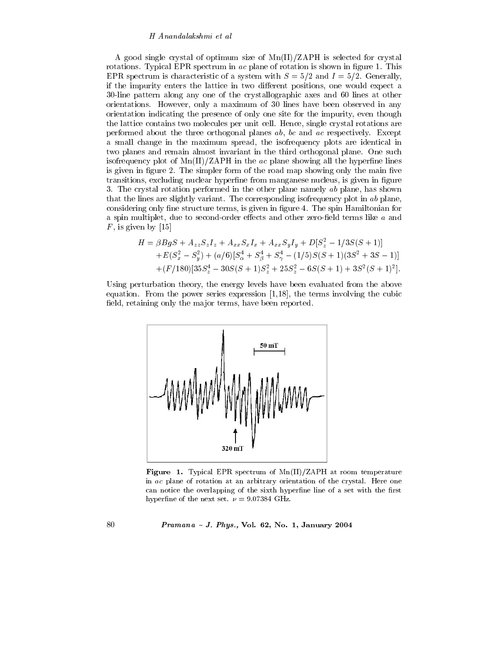A good single crystal of optimum size of  $\text{Mn(II)}/\text{ZAPH}$  is selected for crystal rotations. Typical EPR spectrum in ac plane of rotation is shown in figure 1. This EPR spectrum is characteristic of a system with  $S = 5/2$  and  $I = 5/2$ . Generally, if the impurity enters the lattice in two different positions, one would expect a 30-line pattern along any one of the crystallographic axes and 60 lines at other orientations. However, only a maximum of 30 lines have been observed in any orientation indicating the presence of only one site for the impurity, even though the lattice contains two molecules per unit cell. Hence, single crystal rotations are performed about the three orthogonal planes  $ab$ ,  $bc$  and  $ac$  respectively. Except a small change in the maximum spread, the isofrequency plots are identical in two planes and remain almost invariant in the third orthogonal plane. One such isofrequency plot of  $\text{Mn}(II)/\text{ZAPH}$  in the ac plane showing all the hyperfine lines is given in figure 2. The simpler form of the road map showing only the main five transitions, excluding nuclear hyperfine from manganese nucleus, is given in figure 3. The crystal rotation performed in the other plane namely  $ab$  plane, has shown that the lines are slightly variant. The corresponding isofrequency plot in ab plane, considering only fine structure terms, is given in figure 4. The spin Hamiltonian for a spin multiplet, due to second-order effects and other zero-field terms like  $a$  and  $F$ , is given by [15]

$$
H = \beta BgS + A_{zz}S_zI_z + A_{xx}S_xI_x + A_{xx}S_yI_y + D[S_z^2 - 1/3S(S + 1)]
$$
  
+
$$
E(S_x^2 - S_y^2) + (a/6)[S_x^4 + S_y^4 + S_y^4 - (1/5)S(S + 1)(3S^2 + 3S - 1)]
$$
  
+
$$
(F/180)[35S_z^4 - 30S(S + 1)S_z^2 + 25S_z^2 - 6S(S + 1) + 3S^2(S + 1)^2].
$$

Using perturbation theory, the energy levels have been evaluated from the above equation. From the power series expression  $[1,18]$ , the terms involving the cubic field, retaining only the major terms, have been reported.



Figure 1. Typical EPR spectrum of  $Mn(II)/ZAPH$  at room temperature in ac plane of rotation at an arbitrary orientation of the crystal. Here one can notice the overlapping of the sixth hyperfine line of a set with the first hyperfine of the next set.  $\nu = 9.07384 \text{ GHz}.$ 

#### *Pramana - J. Phys.*, Vol. 62, No. 1, January 2004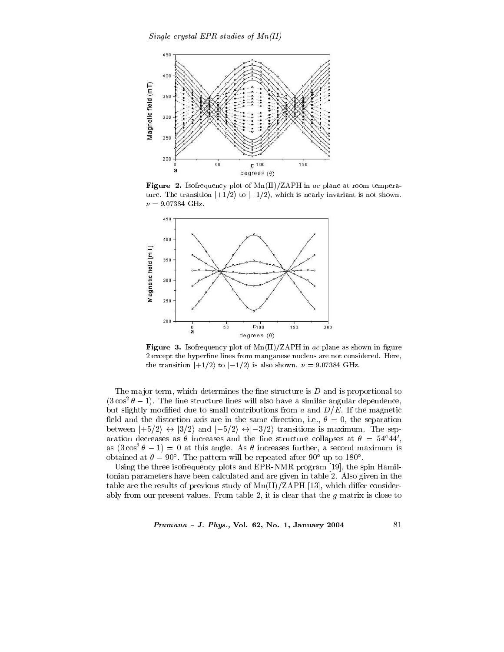

Figure 2. Isofrequency plot of  $\text{Mn(II)/ZAPH}$  in ac plane at room temperature. The transition  $|+1/2\rangle$  to  $|-1/2\rangle$ , which is nearly invariant is not shown.  $\nu = 9.07384 \text{ GHz}.$ 



Figure 3. Isofrequency plot of  $\text{Mn(II)}/\text{ZAPH}$  in ac plane as shown in figure 2 except the hyperfine lines from manganese nucleus are not considered. Here, the transition  $|+1/2\rangle$  to  $|-1/2\rangle$  is also shown.  $\nu = 9.07384 \text{ GHz}$ .

The major term, which determines the fine structure is  $D$  and is proportional to  $(3\cos^2\theta-1)$ . The fine structure lines will also have a similar angular dependence, but slightly modified due to small contributions from a and  $D/E$ . If the magnetic field and the distortion axis are in the same direction, i.e.,  $\theta = 0$ , the separation between  $|+5/2\rangle \leftrightarrow |3/2\rangle$  and  $|-5/2\rangle \leftrightarrow |-3/2\rangle$  transitions is maximum. The separation decreases as  $\theta$  increases and the fine structure collapses at  $\theta = 54^{\circ}44'$ , as  $(3\cos^2\theta - 1) = 0$  at this angle. As  $\theta$  increases further, a second maximum is obtained at  $\theta = 90^{\circ}$ . The pattern will be repeated after 90° up to 180°.

Using the three isofrequency plots and EPR-NMR program [19], the spin Hamiltonian parameters have been calculated and are given in table 2. Also given in the table are the results of previous study of  $\text{Mn(II)}/\text{ZAPH}$  [13], which differ considerably from our present values. From table 2, it is clear that the  $q$  matrix is close to

*Pramana - J. Phys.*, Vol. 62, No. 1, January 2004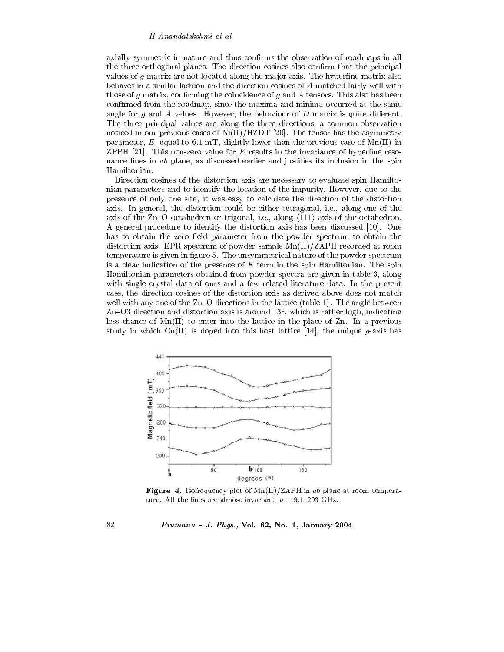axially symmetric in nature and thus confirms the observation of roadmaps in all the three orthogonal planes. The direction cosines also confirm that the principal values of  $g$  matrix are not located along the major axis. The hyperfine matrix also behaves in a similar fashion and the direction cosines of A matched fairly well with those of  $g$  matrix, confirming the coincidence of  $g$  and  $A$  tensors. This also has been confirmed from the roadmap, since the maxima and minima occurred at the same angle for  $q$  and  $\tilde{A}$  values. However, the behaviour of  $D$  matrix is quite different. The three principal values are along the three directions, a common observation noticed in our previous cases of  $Ni(II)/HZDT$  [20]. The tensor has the asymmetry parameter, E, equal to 6.1 mT, slightly lower than the previous case of  $\text{Mn(II)}$  in ZPPH [21]. This non-zero value for E results in the invariance of hyperfine resonance lines in ab plane, as discussed earlier and justifies its inclusion in the spin Hamiltonian.

Direction cosines of the distortion axis are necessary to evaluate spin Hamiltonian parameters and to identify the location of the impurity. However, due to the presence of only one site, it was easy to calculate the direction of the distortion axis. In general, the distortion could be either tetragonal, i.e., along one of the axis of the  $Zn-O$  octahedron or trigonal, i.e., along  $\langle 111 \rangle$  axis of the octahedron. A general procedure to identify the distortion axis has been discussed [10]. One has to obtain the zero field parameter from the powder spectrum to obtain the distortion axis. EPR spectrum of powder sample  $\text{Mn}(II)/\text{ZAPH}$  recorded at room temperature is given in figure 5. The unsymmetrical nature of the powder spectrum is a clear indication of the presence of  $E$  term in the spin Hamiltonian. The spin Hamiltonian parameters obtained from powder spectra are given in table 3, along with single crystal data of ours and a few related literature data. In the present case, the direction cosines of the distortion axis as derived above does not match well with any one of the Zn-O directions in the lattice (table 1). The angle between Zn-O3 direction and distortion axis is around  $13^{\circ}$ , which is rather high, indicating less chance of  $Mn(II)$  to enter into the lattice in the place of  $Zn$ . In a previous study in which  $Cu(II)$  is doped into this host lattice [14], the unique g-axis has



**Figure** 4. Isofrequency plot of  $Mn(II)/ZAPH$  in ab plane at room temperature. All the lines are almost invariant.  $\nu = 9.11293 \text{ GHz.}$ 

*Pramana - J. Phys.*, Vol. 62, No. 1, January 2004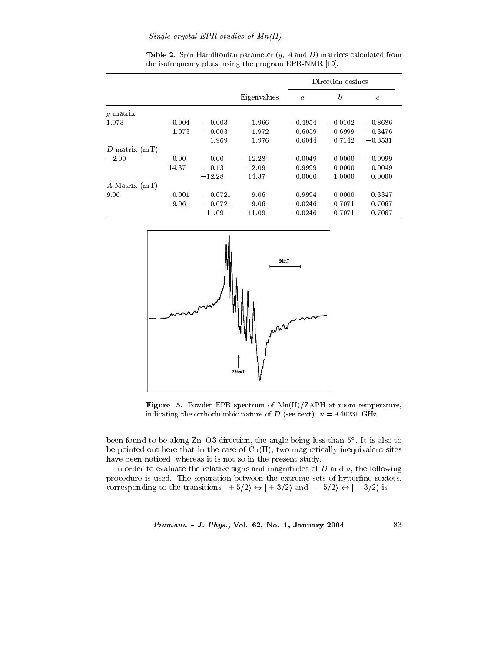## Single crystal EPR studies of  $Mn(II)$

|                   |       |           |             | Direction cosines |                  |               |  |
|-------------------|-------|-----------|-------------|-------------------|------------------|---------------|--|
|                   |       |           | Eigenvalues | $\boldsymbol{a}$  | $\boldsymbol{b}$ | $\mathfrak c$ |  |
| q matrix          |       |           |             |                   |                  |               |  |
| 1.973             | 0.004 | $-0.003$  | 1.966       | $-0.4954$         | $-0.0102$        | $-0.8686$     |  |
|                   | 1.973 | $-0.003$  | 1.972       | 0.6059            | $-0.6999$        | $-0.3476$     |  |
|                   |       | 1.969     | 1.976       | 0.6044            | 0.7142           | $-0.3531$     |  |
| D matrix $(mT)$   |       |           |             |                   |                  |               |  |
| $-2.09$           | 0.00  | 0.00      | $-12.28$    | $-0.0049$         | 0.0000           | $-0.9999$     |  |
|                   | 14.37 | $-0.13$   | $-2.09$     | 0.9999            | 0.0000           | $-0.0049$     |  |
|                   |       | $-12.28$  | 14.37       | 0.0000            | 1.0000           | 0.0000        |  |
| $A$ Matrix $(mT)$ |       |           |             |                   |                  |               |  |
| 9.06              | 0.001 | $-0.0721$ | 9.06        | 0.9994            | 0.0000           | 0.3347        |  |
|                   | 9.06  | $-0.0721$ | 9.06        | $-0.0246$         | $-0.7071$        | 0.7067        |  |
|                   |       | 11.09     | 11.09       | $-0.0246$         | 0.7071           | 0.7067        |  |

Table 2. Spin Hamiltonian parameter  $(g, A \text{ and } D)$  matrices calculated from the isofrequency plots, using the program EPR-NMR [19].



Figure 5. Powder EPR spectrum of Mn(II)/ZAPH at room temperature, indicating the orthorhombic nature of D (see text).  $\nu = 9.40231 \text{ GHz.}$ 

been found to be along  $Zn-O3$  direction, the angle being less than  $5^{\circ}$ . It is also to be pointed out here that in the case of  $Cu(II)$ , two magnetically inequivalent sites have been noticed, whereas it is not so in the present study.

In order to evaluate the relative signs and magnitudes of  $D$  and  $a$ , the following procedure is used. The separation between the extreme sets of hyperfine sextets, corresponding to the transitions  $|+5/2\rangle \leftrightarrow |+3/2\rangle$  and  $|-5/2\rangle \leftrightarrow |-3/2\rangle$  is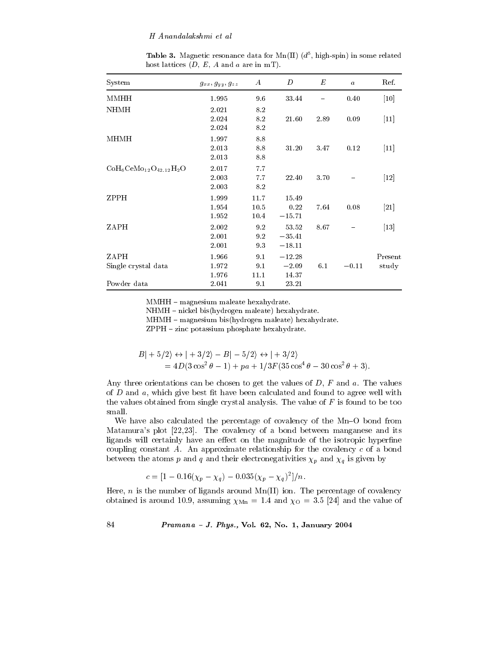**Table 3.** Magnetic resonance data for Mn(II)  $(d^5, high-spin)$  in some related host lattices  $(D, E, A$  and a are in mT.

| System                      | $g_{xx}, g_{yy}, g_{zz}$ | $\boldsymbol{A}$     | D                             | E    | $\boldsymbol{a}$ | Ref.             |
|-----------------------------|--------------------------|----------------------|-------------------------------|------|------------------|------------------|
| MMHH                        | 1.995                    | 96                   | 33.44                         |      | 0.40             | [10]             |
| <b>NHMH</b>                 | 2.021<br>2.024<br>2.024  | 8.2<br>8.2<br>8.2    | 21.60                         | 2.89 | 0.09             | $[11]$           |
| MHMH                        | 1.997<br>2.013<br>2.013  | 8.8<br>8.8<br>8.8    | 31.20                         | 3.47 | 0.12             | $[11]$           |
| $CoH6CeMo12O42.12H2O$       | 2.017<br>2.003<br>2.003  | 7.7<br>7.7<br>8.2    | 22.40                         | 3.70 |                  | $[12]$           |
| ZPPH                        | 1.999<br>1.954<br>1.952  | 11.7<br>10.5<br>10.4 | 15.49<br>0.22<br>$-15.71$     | 7.64 | 0.08             | $[21]$           |
| ZAPH                        | 2.002<br>2.001<br>2.001  | 9.2<br>9.2<br>9.3    | 53.52<br>$-35.41$<br>$-18.11$ | 8.67 |                  | $[13]$           |
| ZAPH<br>Single crystal data | 1.966<br>1.972<br>1.976  | 9.1<br>9.1<br>11.1   | $-12.28$<br>$-2.09$<br>14.37  | 6.1  | $-0.11$          | Present<br>study |
| Powder data                 | 2.041                    | 9.1                  | 23.21                         |      |                  |                  |

MMHH - magnesium maleate hexahydrate.

NHMH - nickel bis(hydrogen maleate) hexahydrate.

MHMH - magnesium bis(hydrogen maleate) hexahydrate.

ZPPH - zinc potassium phosphate hexahydrate.

$$
B| + 5/2\rangle \leftrightarrow | + 3/2\rangle - B| - 5/2\rangle \leftrightarrow | + 3/2\rangle
$$
  
= 4D(3 cos<sup>2</sup> θ - 1) + pa + 1/3F(35 cos<sup>4</sup> θ - 30 cos<sup>2</sup> θ + 3).

Any three orientations can be chosen to get the values of  $D$ ,  $F$  and  $a$ . The values of  $D$  and  $a$ , which give best fit have been calculated and found to agree well with the values obtained from single crystal analysis. The value of  $F$  is found to be too small.

We have also calculated the percentage of covalency of the Mn-O bond from Matamura's plot [22,23]. The covalency of a bond between manganese and its ligands will certainly have an effect on the magnitude of the isotropic hyperfine coupling constant  $A$ . An approximate relationship for the covalency  $c$  of a bond between the atoms p and q and their electronegativities  $\chi_p$  and  $\chi_q$  is given by

$$
c = [1 - 0.16(\chi_p - \chi_q) - 0.035(\chi_p - \chi_q)^2]/n.
$$

Here, n is the number of ligands around  $Mn(II)$  ion. The percentage of covalency obtained is around 10.9, assuming  $\chi_{Mn} = 1.4$  and  $\chi_{O} = 3.5$  [24] and the value of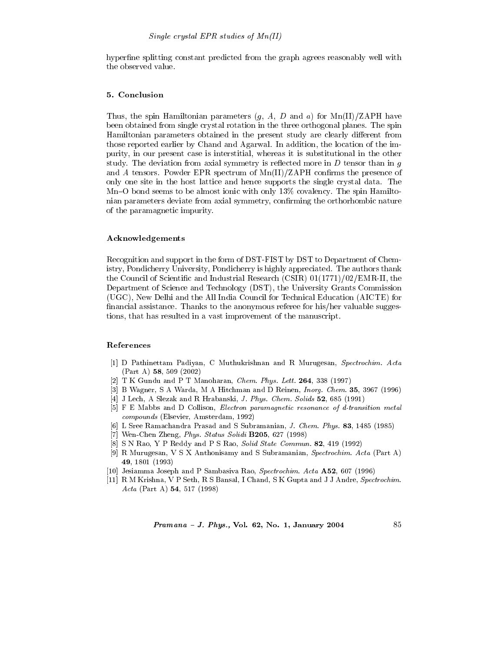hyperfine splitting constant predicted from the graph agrees reasonably well with the observed value.

## 5. Conclusion

Thus, the spin Hamiltonian parameters  $(g, A, D \text{ and } a)$  for Mn(II)/ZAPH have been obtained from single crystal rotation in the three orthogonal planes. The spin Hamiltonian parameters obtained in the present study are clearly different from those reported earlier by Chand and Agarwal. In addition, the location of the impurity, in our present case is interstitial, whereas it is substitutional in the other study. The deviation from axial symmetry is reflected more in  $D$  tensor than in  $g$ and A tensors. Powder EPR spectrum of  $\text{Mn(II)}/\text{ZAPH}$  confirms the presence of only one site in the host lattice and hence supports the single crystal data. The  $Mn-O$  bond seems to be almost ionic with only 13% covalency. The spin Hamiltonian parameters deviate from axial symmetry, confirming the orthorhombic nature of the paramagnetic impurity.

#### Acknowledgements

Recognition and support in the form of DST-FIST by DST to Department of Chemistry, Pondicherry University, Pondicherry is highly appreciated. The authors thank the Council of Scientific and Industrial Research (CSIR)  $01(1771)/02$ /EMR-II, the Department of Science and Technology (DST), the University Grants Commission (UGC), New Delhi and the All India Council for Technical Education (AICTE) for financial assistance. Thanks to the anonymous referee for his/her valuable suggestions, that has resulted in a vast improvement of the manuscript.

#### References

- [1] D Pathinettam Padiyan, C Muthukrishnan and R Murugesan, Spectrochim. Acta  $(Part A)$  58, 509 (2002)
- [2] T K Gundu and P T Manoharan, Chem. Phys. Lett.  $264$ , 338 (1997)
- [3] B Wagner, S A Warda, M A Hitchman and D Reinen, Inorg. Chem. 35, 3967 (1996)
- [4] J Lech, A Slezak and R Hrabanski, J. Phys. Chem. Solids 52, 685 (1991)
- [5] F E Mabbs and D Collison, *Electron paramagnetic resonance of d-transition metal* compounds (Elsevier, Amsterdam, 1992)
- [6] L Sree Ramachandra Prasad and S Subramanian, J. Chem. Phys. 83, 1485 (1985)
- [7] Wen-Chen Zheng, Phys. Status Solidi B205, 627 (1998)
- [8] S N Rao, Y P Reddy and P S Rao, Solid State Commun. 82, 419 (1992)
- [9] R Murugesan, V S X Anthonisamy and S Subramanian, Spectrochim. Acta (Part A) 49, 1801 (1993)
- [10] Jesiamma Joseph and P Sambasiva Rao, Spectrochim. Acta A52, 607 (1996)
- [11] R M Krishna, V P Seth, R S Bansal, I Chand, S K Gupta and J J Andre, Spectrochim. Acta (Part A)  $54, 517$  (1998)